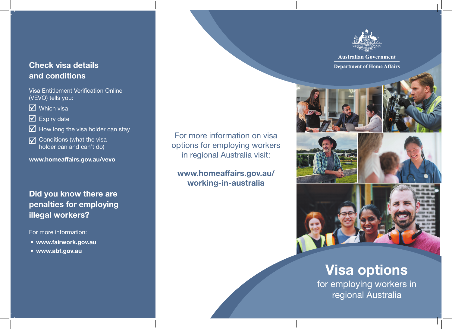### Check visa details and conditions

Visa Entitlement Verification Online (VEVO) tells you:

 $\overline{\mathsf{M}}$  Which visa

#### $\overline{\mathbf{V}}$  Expiry date

 $\triangledown$  How long the visa holder can stay

Conditions (what the visa  $\overline{\mathsf{M}}$ holder can and can't do)

www.homeaffairs.gov.au/vevo

### Did you know there are penalties for employing illegal workers?

For more information:

- www.fairwork.gov.au
- www.abf.gov.au

For more information on visa options for employing workers in regional Australia visit:

www.homeaffairs.gov.au/ working-in-australia



**Australian Government Department of Home Affairs** 







# Visa options

for employing workers in regional Australia